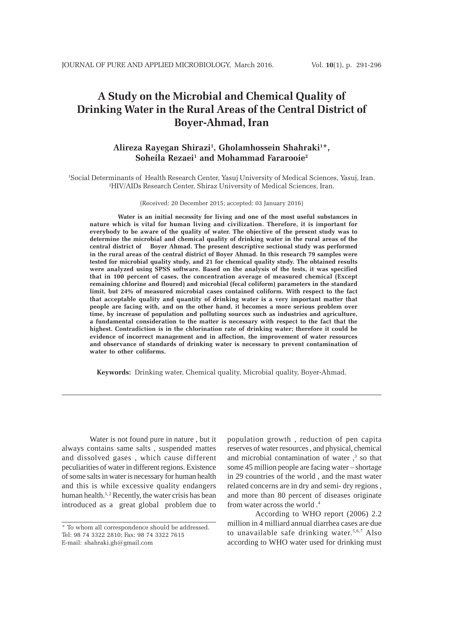# **A Study on the Microbial and Chemical Quality of Drinking Water in the Rural Areas of the Central District of Boyer-Ahmad, Iran**

# **Alireza Rayegan Shirazi1 , Gholamhossein Shahraki1 \*, Soheila Rezaei1 and Mohammad Fararooie2**

1 Social Determinants of Health Research Center, Yasuj University of Medical Sciences, Yasuj, Iran. 2 HIV/AIDs Research Center, Shiraz University of Medical Sciences, Iran.

(Received: 20 December 2015; accepted: 03 January 2016)

**Water is an initial necessity for living and one of the most useful substances in nature which is vital for human living and civilization. Therefore, it is important for everybody to be aware of the quality of water. The objective of the present study was to determine the microbial and chemical quality of drinking water in the rural areas of the central district of Boyer Ahmad. The present descriptive sectional study was performed in the rural areas of the central district of Boyer Ahmad. In this research 79 samples were tested for microbial quality study, and 21 for chemical quality study. The obtained results were analyzed using SPSS software. Based on the analysis of the tests, it was specified that in 100 percent of cases, the concentration average of measured chemical (Except remaining chlorine and floured) and microbial (fecal coliform) parameters in the standard limit, but 24% of measured microbial cases contained coliform. With respect to the fact that acceptable quality and quantity of drinking water is a very important matter that people are facing with, and on the other hand, it becomes a more serious problem over time, by increase of population and polluting sources such as industries and agriculture, a fundamental consideration to the matter is necessary with respect to the fact that the highest. Contradiction is in the chlorination rate of drinking water; therefore it could be evidence of incorrect management and in affection, the improvement of water resources and observance of standards of drinking water is necessary to prevent contamination of water to other coliforms.**

**Keywords:** Drinking water, Chemical quality, Microbial quality, Boyer-Ahmad.

Water is not found pure in nature , but it always contains same salts , suspended mattes and dissolved gases , which cause different peculiarities of water in different regions. Existence of some salts in water is necessary for human health and this is while excessive quality endangers human health.<sup>1,2</sup> Recently, the water crisis has bean introduced as a great global problem due to

population growth , reduction of pen capita reserves of water resources , and physical, chemical and microbial contamination of water  $,3$  so that some 45 million people are facing water – shortage in 29 countries of the world , and the mast water related concerns are in dry and semi- dry regions , and more than 80 percent of diseases originate from water across the world .4

According to WHO report (2006) 2.2 million in 4 milliard annual diarrhea cases are due to unavailable safe drinking water.5,6,7 Also according to WHO water used for drinking must

<sup>\*</sup> To whom all correspondence should be addressed. Tel: 98 74 3322 2810; Fax: 98 74 3322 7615 E-mail: shahraki.gh@gmail.com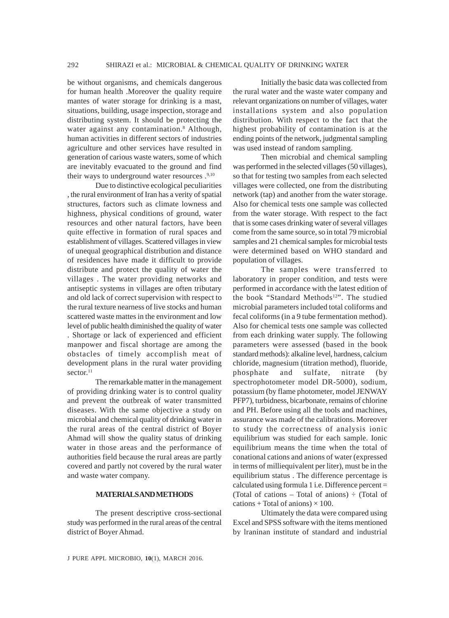be without organisms, and chemicals dangerous for human health .Moreover the quality require mantes of water storage for drinking is a mast, situations, building, usage inspection, storage and distributing system. It should be protecting the water against any contamination.<sup>8</sup> Although, human activities in different sectors of industries agriculture and other services have resulted in generation of carious waste waters, some of which are inevitably evacuated to the ground and find their ways to underground water resources .<sup>9,10</sup>

Due to distinctive ecological peculiarities , the rural environment of Iran has a verity of spatial structures, factors such as climate lowness and highness, physical conditions of ground, water resources and other natural factors, have been quite effective in formation of rural spaces and establishment of villages. Scattered villages in view of unequal geographical distribution and distance of residences have made it difficult to provide distribute and protect the quality of water the villages . The water providing networks and antiseptic systems in villages are often tributary and old lack of correct supervision with respect to the rural texture nearness of live stocks and human scattered waste mattes in the environment and low level of public health diminished the quality of water . Shortage or lack of experienced and efficient manpower and fiscal shortage are among the obstacles of timely accomplish meat of development plans in the rural water providing sector.<sup>11</sup>

The remarkable matter in the management of providing drinking water is to control quality and prevent the outbreak of water transmitted diseases. With the same objective a study on microbial and chemical quality of drinking water in the rural areas of the central district of Boyer Ahmad will show the quality status of drinking water in those areas and the performance of authorities field because the rural areas are partly covered and partly not covered by the rural water and waste water company.

#### **MATERIALS AND METHODS**

The present descriptive cross-sectional study was performed in the rural areas of the central district of Boyer Ahmad.

Initially the basic data was collected from the rural water and the waste water company and relevant organizations on number of villages, water installations system and also population distribution. With respect to the fact that the highest probability of contamination is at the ending points of the network, judgmental sampling was used instead of random sampling.

Then microbial and chemical sampling was performed in the selected villages (50 villages), so that for testing two samples from each selected villages were collected, one from the distributing network (tap) and another from the water storage. Also for chemical tests one sample was collected from the water storage. With respect to the fact that is some cases drinking water of several villages come from the same source, so in total 79 microbial samples and 21 chemical samples for microbial tests were determined based on WHO standard and population of villages.

The samples were transferred to laboratory in proper condition, and tests were performed in accordance with the latest edition of the book "Standard Methods<sup>12</sup>". The studied microbial parameters included total coliforms and fecal coliforms (in a 9 tube fermentation method). Also for chemical tests one sample was collected from each drinking water supply. The following parameters were assessed (based in the book standard methods): alkaline level, hardness, calcium chloride, magnesium (titration method), fluoride, phosphate and sulfate, nitrate (by spectrophotometer model DR-5000), sodium, potassium (by flame photometer, model JENWAY PFP7), turbidness, bicarbonate, remains of chlorine and PH. Before using all the tools and machines, assurance was made of the calibrations. Moreover to study the correctness of analysis ionic equilibrium was studied for each sample. Ionic equilibrium means the time when the total of conational cations and anions of water (expressed in terms of milliequivalent per liter), must be in the equilibrium status . The difference percentage is calculated using formula 1 i.e. Difference percent = (Total of cations – Total of anions)  $\div$  (Total of cations + Total of anions)  $\times$  100.

Ultimately the data were compared using Excel and SPSS software with the items mentioned by lraninan institute of standard and industrial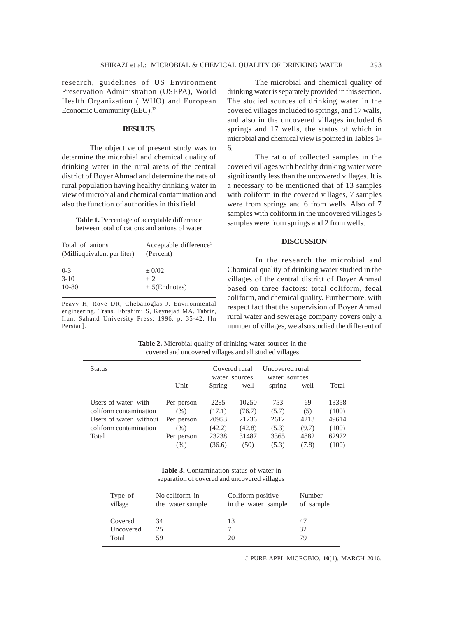research, guidelines of US Environment Preservation Administration (USEPA), World Health Organization ( WHO) and European Economic Community (EEC).<sup>13</sup>

## **RESULTS**

The objective of present study was to determine the microbial and chemical quality of drinking water in the rural areas of the central district of Boyer Ahmad and determine the rate of rural population having healthy drinking water in view of microbial and chemical contamination and also the function of authorities in this field .

**Table 1.** Percentage of acceptable difference between total of cations and anions of water

| Total of anions<br>(Milliequivalent per liter) | Acceptable difference <sup>1</sup><br>(Percent) |
|------------------------------------------------|-------------------------------------------------|
| $0 - 3$                                        | $\pm$ 0/02                                      |
| $3-10$                                         | $+2$                                            |
| $10 - 80$                                      | $\pm$ 5(Endnotes)                               |
|                                                |                                                 |

Peavy H, Rove DR, Chebanoglas J. Environmental engineering. Trans. Ebrahimi S, Keynejad MA. Tabriz, Iran: Sahand University Press; 1996. p. 35-42. [In Persian].

The microbial and chemical quality of drinking water is separately provided in this section. The studied sources of drinking water in the covered villages included to springs, and 17 walls, and also in the uncovered villages included 6 springs and 17 wells, the status of which in microbial and chemical view is pointed in Tables 1- 6.

The ratio of collected samples in the covered villages with healthy drinking water were significantly less than the uncovered villages. It is a necessary to be mentioned that of 13 samples with coliform in the covered villages, 7 samples were from springs and 6 from wells. Also of 7 samples with coliform in the uncovered villages 5 samples were from springs and 2 from wells.

### **DISCUSSION**

In the research the microbial and Chomical quality of drinking water studied in the villages of the central district of Boyer Ahmad based on three factors: total coliform, fecal coliform, and chemical quality. Furthermore, with respect fact that the supervision of Boyer Ahmad rural water and sewerage company covers only a number of villages, we also studied the different of

**Table 2.** Microbial quality of drinking water sources in the covered and uncovered villages and all studied villages

| <b>Status</b>                                                                                              | Unit                                                                | Covered rural<br>water sources<br>Spring             | well                                                | Uncovered rural<br>water sources<br>spring     | well                                        | Total                                              |
|------------------------------------------------------------------------------------------------------------|---------------------------------------------------------------------|------------------------------------------------------|-----------------------------------------------------|------------------------------------------------|---------------------------------------------|----------------------------------------------------|
| Users of water with<br>coliform contamination<br>Users of water without<br>coliform contamination<br>Total | Per person<br>$(\% )$<br>Per person<br>(% )<br>Per person<br>$(\%)$ | 2285<br>(17.1)<br>20953<br>(42.2)<br>23238<br>(36.6) | 10250<br>(76.7)<br>21236<br>(42.8)<br>31487<br>(50) | 753<br>(5.7)<br>2612<br>(5.3)<br>3365<br>(5.3) | 69<br>(5)<br>4213<br>(9.7)<br>4882<br>(7.8) | 13358<br>(100)<br>49614<br>(100)<br>62972<br>(100) |

| <b>Table 3.</b> Contamination status of water in |  |  |
|--------------------------------------------------|--|--|
| separation of covered and uncovered villages     |  |  |

| Type of   | No coliform in   | Coliform positive   | Number    |
|-----------|------------------|---------------------|-----------|
| village   | the water sample | in the water sample | of sample |
| Covered   | 34               | 13                  | 47        |
| Uncovered | 25               |                     | 32        |
| Total     | 59               | 20                  | 79        |

J PURE APPL MICROBIO*,* **10**(1), MARCH 2016.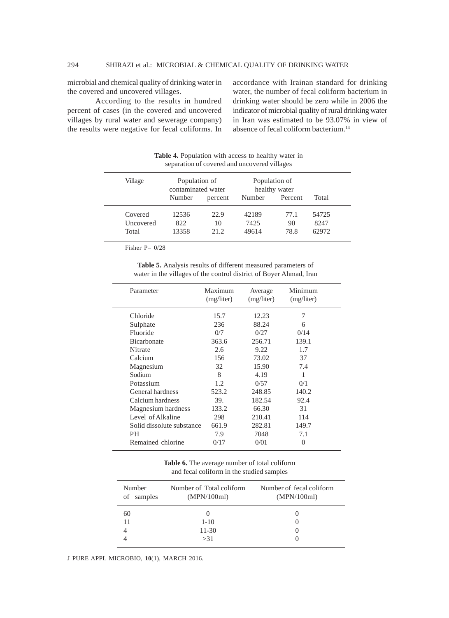microbial and chemical quality of drinking water in the covered and uncovered villages.

According to the results in hundred percent of cases (in the covered and uncovered villages by rural water and sewerage company) the results were negative for fecal coliforms. In accordance with Irainan standard for drinking water, the number of fecal coliform bacterium in drinking water should be zero while in 2006 the indicator of microbial quality of rural drinking water in Iran was estimated to be 93.07% in view of absence of fecal coliform bacterium.<sup>14</sup>

| separation of covered and uncovered villages |                                     |         |                                |         |       |
|----------------------------------------------|-------------------------------------|---------|--------------------------------|---------|-------|
| Village                                      | Population of<br>contaminated water |         | Population of<br>healthy water |         |       |
|                                              | Number                              | percent | Number                         | Percent | Total |
| Covered                                      | 12536                               | 22.9    | 42189                          | 77.1    | 54725 |
| Uncovered                                    | 822                                 | 10      | 7425                           | 90      | 8247  |
| Total                                        | 13358                               | 21.2    | 49614                          | 78.8    | 62972 |

**Table 4.** Population with access to healthy water in

Fisher P= 0/28

**Table 5.** Analysis results of different measured parameters of water in the villages of the control district of Boyer Ahmad, Iran

| Parameter                 | Maximum<br>(mg/liter) | Average<br>(mg/liter) | Minimum<br>(mg/liter) |  |
|---------------------------|-----------------------|-----------------------|-----------------------|--|
| Chloride                  | 15.7                  | 12.23                 | 7                     |  |
| Sulphate                  | 236                   | 88.24                 | 6                     |  |
| Fluoride                  | 0/7                   | 0/27                  | 0/14                  |  |
| <b>Bicarbonate</b>        | 363.6                 | 256.71                | 139.1                 |  |
| Nitrate                   | 2.6                   | 9.22                  | 1.7                   |  |
| Calcium                   | 156                   | 73.02                 | 37                    |  |
| Magnesium                 | 32                    | 15.90                 | 7.4                   |  |
| Sodium                    | 8                     | 4.19                  | 1                     |  |
| Potassium                 | 1.2                   | 0/57                  | 0/1                   |  |
| General hardness          | 523.2                 | 248.85                | 140.2                 |  |
| Calcium hardness          | 39.                   | 182.54                | 92.4                  |  |
| Magnesium hardness        | 133.2                 | 66.30                 | 31                    |  |
| Level of Alkaline         | 298                   | 210.41                | 114                   |  |
| Solid dissolute substance | 661.9                 | 282.81                | 149.7                 |  |
| PH.                       | 7.9                   | 7048                  | 7.1                   |  |
| Remained chlorine         | 0/17                  | 0/01                  | 0                     |  |
|                           |                       |                       |                       |  |

**Table 6.** The average number of total coliform and fecal coliform in the studied samples

| Number<br>samples<br>of | Number of Total coliform<br>(MPN/100ml) | Number of fecal coliform<br>(MPN/100ml) |  |  |
|-------------------------|-----------------------------------------|-----------------------------------------|--|--|
| 60                      |                                         |                                         |  |  |
| 11                      | $1 - 10$                                |                                         |  |  |
|                         | $11 - 30$                               |                                         |  |  |
|                         | >31                                     |                                         |  |  |
|                         |                                         |                                         |  |  |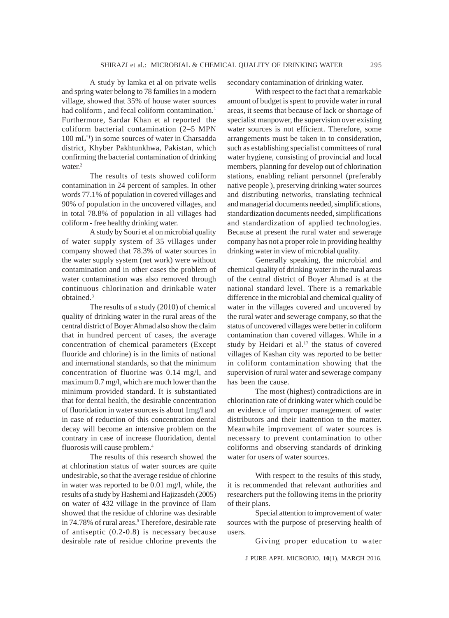A study by lamka et al on private wells and spring water belong to 78 families in a modern village, showed that 35% of house water sources had coliform, and fecal coliform contamination.<sup>1</sup> Furthermore, Sardar Khan et al reported the coliform bacterial contamination (2–5 MPN 100 mL"1) in some sources of water in Charsadda district, Khyber Pakhtunkhwa, Pakistan, which confirming the bacterial contamination of drinking water.<sup>2</sup>

The results of tests showed coliform contamination in 24 percent of samples. In other words 77.1% of population in covered villages and 90% of population in the uncovered villages, and in total 78.8% of population in all villages had coliform - free healthy drinking water.

A study by Souri et al on microbial quality of water supply system of 35 villages under company showed that 78.3% of water sources in the water supply system (net work) were without contamination and in other cases the problem of water contamination was also removed through continuous chlorination and drinkable water obtained.3

The results of a study (2010) of chemical quality of drinking water in the rural areas of the central district of Boyer Ahmad also show the claim that in hundred percent of cases, the average concentration of chemical parameters (Except fluoride and chlorine) is in the limits of national and international standards, so that the minimum concentration of fluorine was 0.14 mg/l, and maximum 0.7 mg/l, which are much lower than the minimum provided standard. It is substantiated that for dental health, the desirable concentration of fluoridation in water sources is about 1mg/l and in case of reduction of this concentration dental decay will become an intensive problem on the contrary in case of increase fluoridation, dental fluorosis will cause problem.4

The results of this research showed the at chlorination status of water sources are quite undesirable, so that the average residue of chlorine in water was reported to be 0.01 mg/l, while, the results of a study by Hashemi and Hajizasdeh (2005) on water of 432 village in the province of Ilam showed that the residue of chlorine was desirable in 74.78% of rural areas.<sup>5</sup> Therefore, desirable rate of antiseptic (0.2-0.8) is necessary because desirable rate of residue chlorine prevents the secondary contamination of drinking water.

With respect to the fact that a remarkable amount of budget is spent to provide water in rural areas, it seems that because of lack or shortage of specialist manpower, the supervision over existing water sources is not efficient. Therefore, some arrangements must be taken in to consideration, such as establishing specialist committees of rural water hygiene, consisting of provincial and local members, planning for develop out of chlorination stations, enabling reliant personnel (preferably native people ), preserving drinking water sources and distributing networks, translating technical and managerial documents needed, simplifications, standardization documents needed, simplifications and standardization of applied technologies. Because at present the rural water and sewerage company has not a proper role in providing healthy drinking water in view of microbial quality.

Generally speaking, the microbial and chemical quality of drinking water in the rural areas of the central district of Boyer Ahmad is at the national standard level. There is a remarkable difference in the microbial and chemical quality of water in the villages covered and uncovered by the rural water and sewerage company, so that the status of uncovered villages were better in coliform contamination than covered villages. While in a study by Heidari et al. $17$  the status of covered villages of Kashan city was reported to be better in coliform contamination showing that the supervision of rural water and sewerage company has been the cause.

The most (highest) contradictions are in chlorination rate of drinking water which could be an evidence of improper management of water distributors and their inattention to the matter. Meanwhile improvement of water sources is necessary to prevent contamination to other coliforms and observing standards of drinking water for users of water sources.

With respect to the results of this study, it is recommended that relevant authorities and researchers put the following items in the priority of their plans.

Special attention to improvement of water sources with the purpose of preserving health of users.

Giving proper education to water

J PURE APPL MICROBIO*,* **10**(1), MARCH 2016.